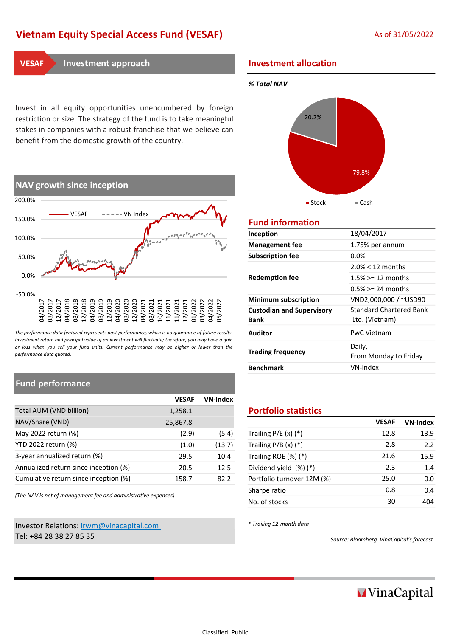# Vietnam Equity Special Access Fund (VESAF) As of 31/05/2022

Invest in all equity opportunities unencumbered by foreign restriction or size. The strategy of the fund is to take meaningful stakes in companies with a robust franchise that we believe can benefit from the domestic growth of the country.



The performance data featured represents past performance, which is no guarantee of future results. Investment return and principal value of an investment will fluctuate; therefore, you may have a gain or loss when you sell your fund units. Current performance may be higher or lower than the performance data quoted.

# Fund performance

|                                       | <b>VESAF</b> | <b>VN-Index</b> |                             |              |
|---------------------------------------|--------------|-----------------|-----------------------------|--------------|
| Total AUM (VND billion)               | 1,258.1      |                 | <b>Portfolio statistics</b> |              |
| NAV/Share (VND)                       | 25,867.8     |                 |                             | <b>VESAF</b> |
| May 2022 return (%)                   | (2.9)        | (5.4)           | Trailing $P/E(x)$ (*)       | 12.8         |
| YTD 2022 return (%)                   | (1.0)        | (13.7)          | Trailing $P/B(x)$ (*)       | 2.8          |
| 3-year annualized return (%)          | 29.5         | 10.4            | Trailing ROE (%) (*)        | 21.6         |
| Annualized return since inception (%) | 20.5         | 12.5            | Dividend yield (%) (*)      | 2.3          |
| Cumulative return since inception (%) | 158.7        | 82.2            | Portfolio turnover 12M (%)  | 25.0         |

(The NAV is net of management fee and administrative expenses)

# Investor Relations: irwm@vinacapital.com Tel: +84 28 38 27 85 35 Source: Bloomberg, VinaCapital's forecast

# **INVESAF** Investment approach **Investment allocation**

## % Total NAV



# Fund information

| Inception                                       | 18/04/2017                                |  |  |  |  |
|-------------------------------------------------|-------------------------------------------|--|--|--|--|
| <b>Management fee</b>                           | 1.75% per annum                           |  |  |  |  |
| <b>Subscription fee</b>                         | $0.0\%$                                   |  |  |  |  |
|                                                 | $2.0\% < 12$ months                       |  |  |  |  |
| <b>Redemption fee</b>                           | $1.5\% > = 12$ months                     |  |  |  |  |
|                                                 | $0.5\% > = 24$ months                     |  |  |  |  |
| <b>Minimum subscription</b>                     | VND2,000,000 / ~USD90                     |  |  |  |  |
| <b>Custodian and Supervisory</b><br><b>Bank</b> | Standard Chartered Bank<br>Ltd. (Vietnam) |  |  |  |  |
| Auditor                                         | <b>PwC Vietnam</b>                        |  |  |  |  |
| <b>Trading frequency</b>                        | Daily,<br>From Monday to Friday           |  |  |  |  |
| <b>Benchmark</b>                                | VN-Index                                  |  |  |  |  |
|                                                 |                                           |  |  |  |  |

## **Portfolio statistics**

| 25,867.8 |        |                            | <b>VESAF</b> | <b>VN-Index</b> |
|----------|--------|----------------------------|--------------|-----------------|
| (2.9)    | (5.4)  | Trailing $P/E(x)$ $(*)$    | 12.8         | 13.9            |
| (1.0)    | (13.7) | Trailing $P/B(x)$ $(*)$    | 2.8          | 2.2             |
| 29.5     | 10.4   | Trailing ROE $(\%)$ (*)    | 21.6         | 15.9            |
| 20.5     | 12.5   | Dividend yield (%) (*)     | 2.3          | 1.4             |
| 158.7    | 82.2   | Portfolio turnover 12M (%) | 25.0         | 0.0             |
| penses)  |        | Sharpe ratio               | 0.8          | 0.4             |
|          |        | No. of stocks              | 30           | 404             |
|          |        |                            |              |                 |

\* Trailing 12-month data